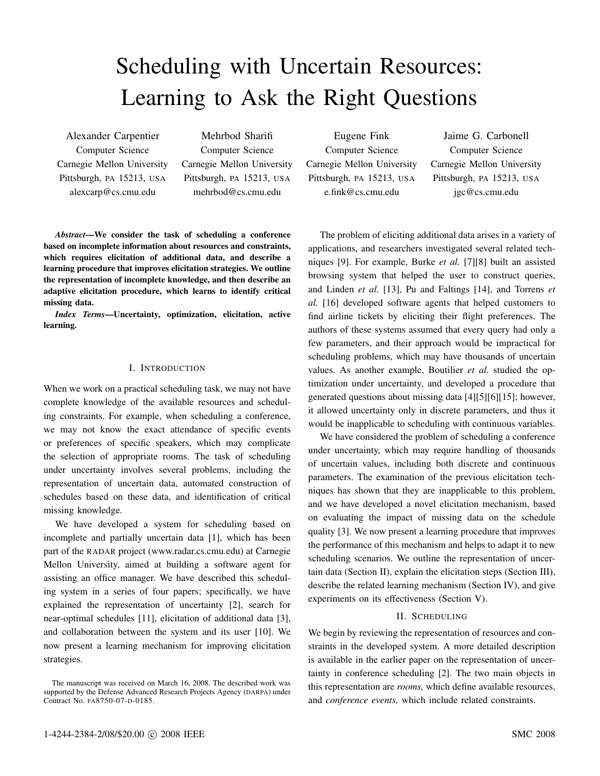# Scheduling with Uncertain Resources: Learning to Ask the Right Questions

Alexander Carpentier Computer Science Carnegie Mellon University Pittsburgh, PA 15213, USA alexcarp@cs.cmu.edu

Mehrbod Sharifi Computer Science Carnegie Mellon University Pittsburgh, PA 15213, USA mehrbod@cs.cmu.edu

*Abstract*—We consider the task of scheduling a conference based on incomplete information about resources and constraints, which requires elicitation of additional data, and describe a learning procedure that improves elicitation strategies. We outline the representation of incomplete knowledge, and then describe an adaptive elicitation procedure, which learns to identify critical missing data.

*Index Terms*—Uncertainty, optimization, elicitation, active learning.

## I. INTRODUCTION

When we work on a practical scheduling task, we may not have complete knowledge of the available resources and scheduling constraints. For example, when scheduling a conference, we may not know the exact attendance of specific events or preferences of specific speakers, which may complicate the selection of appropriate rooms. The task of scheduling under uncertainty involves several problems, including the representation of uncertain data, automated construction of schedules based on these data, and identification of critical missing knowledge.

We have developed a system for scheduling based on incomplete and partially uncertain data [1], which has been part of the RADAR project (www.radar.cs.cmu.edu) at Carnegie Mellon University, aimed at building a software agent for assisting an office manager. We have described this scheduling system in a series of four papers; specifically, we have explained the representation of uncertainty [2], search for near-optimal schedules [11], elicitation of additional data [3], and collaboration between the system and its user [10]. We now present a learning mechanism for improving elicitation strategies.

Eugene Fink Computer Science Carnegie Mellon University Pittsburgh, PA 15213, USA e.fink@cs.cmu.edu

Jaime G. Carbonell Computer Science Carnegie Mellon University Pittsburgh, PA 15213, USA jgc@cs.cmu.edu

The problem of eliciting additional data arises in a variety of applications, and researchers investigated several related techniques [9]. For example, Burke *et al.* [7][8] built an assisted browsing system that helped the user to construct queries, and Linden *et al.* [13], Pu and Faltings [14], and Torrens *et al.* [16] developed software agents that helped customers to find airline tickets by eliciting their flight preferences. The authors of these systems assumed that every query had only a few parameters, and their approach would be impractical for scheduling problems, which may have thousands of uncertain values. As another example, Boutilier *et al.* studied the optimization under uncertainty, and developed a procedure that generated questions about missing data [4][5][6][15]; however, it allowed uncertainty only in discrete parameters, and thus it would be inapplicable to scheduling with continuous variables.

We have considered the problem of scheduling a conference under uncertainty, which may require handling of thousands of uncertain values, including both discrete and continuous parameters. The examination of the previous elicitation techniques has shown that they are inapplicable to this problem, and we have developed a novel elicitation mechanism, based on evaluating the impact of missing data on the schedule quality [3]. We now present a learning procedure that improves the performance of this mechanism and helps to adapt it to new scheduling scenarios. We outline the representation of uncertain data (Section II), explain the elicitation steps (Section III), describe the related learning mechanism (Section IV), and give experiments on its effectiveness (Section V).

## II. SCHEDULING

We begin by reviewing the representation of resources and constraints in the developed system. A more detailed description is available in the earlier paper on the representation of uncertainty in conference scheduling [2]. The two main objects in this representation are *rooms,* which define available resources, and *conference events,* which include related constraints.

The manuscript was received on March 16, 2008. The described work was supported by the Defense Advanced Research Projects Agency (DARPA) under Contract No. FA8750-07-D-0185.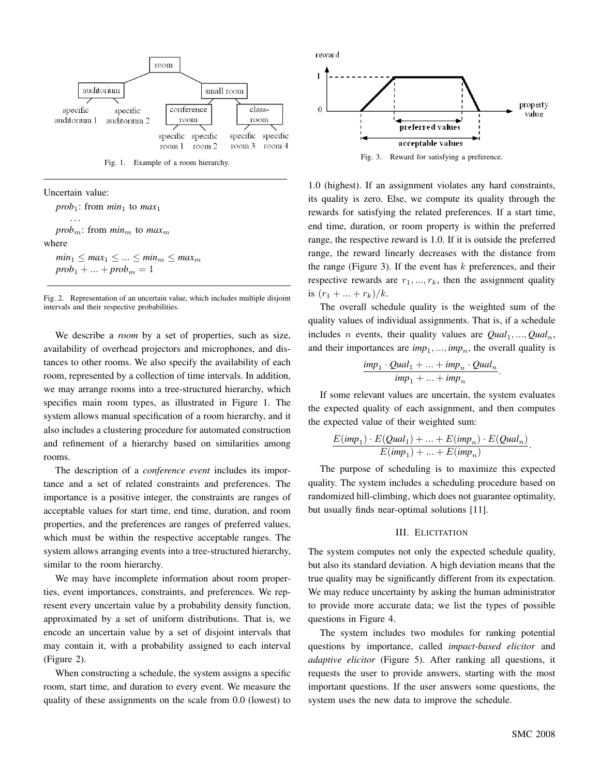

Uncertain value: *prob*<sub>1</sub>: from *min*<sub>1</sub> to *max*<sub>1</sub> ... *prob<sub>m</sub>*: from *min*<sub>m</sub> to *max*<sub>m</sub> where  $min_1 \leq max_1 \leq ... \leq min_m \leq max_m$  $prob_1 + ... + prob_m = 1$ 

Fig. 2. Representation of an uncertain value, which includes multiple disjoint intervals and their respective probabilities.

We describe a *room* by a set of properties, such as size, availability of overhead projectors and microphones, and distances to other rooms. We also specify the availability of each room, represented by a collection of time intervals. In addition, we may arrange rooms into a tree-structured hierarchy, which specifies main room types, as illustrated in Figure 1. The system allows manual specification of a room hierarchy, and it also includes a clustering procedure for automated construction and refinement of a hierarchy based on similarities among rooms.

The description of a *conference event* includes its importance and a set of related constraints and preferences. The importance is a positive integer, the constraints are ranges of acceptable values for start time, end time, duration, and room properties, and the preferences are ranges of preferred values, which must be within the respective acceptable ranges. The system allows arranging events into a tree-structured hierarchy, similar to the room hierarchy.

We may have incomplete information about room properties, event importances, constraints, and preferences. We represent every uncertain value by a probability density function, approximated by a set of uniform distributions. That is, we encode an uncertain value by a set of disjoint intervals that may contain it, with a probability assigned to each interval (Figure 2).

When constructing a schedule, the system assigns a specific room, start time, and duration to every event. We measure the quality of these assignments on the scale from 0.0 (lowest) to



1.0 (highest). If an assignment violates any hard constraints, its quality is zero. Else, we compute its quality through the rewards for satisfying the related preferences. If a start time, end time, duration, or room property is within the preferred range, the respective reward is 1.0. If it is outside the preferred range, the reward linearly decreases with the distance from the range (Figure 3). If the event has  $k$  preferences, and their respective rewards are  $r_1, ..., r_k$ , then the assignment quality is  $(r_1 + ... + r_k)/k$ .

The overall schedule quality is the weighted sum of the quality values of individual assignments. That is, if a schedule includes *n* events, their quality values are  $Qual<sub>1</sub>, ..., Qual<sub>n</sub>$ , and their importances are  $imp_1, ..., imp_n$ , the overall quality is

$$
\frac{imp_1 \cdot Qual_1 + \dots + imp_n \cdot Qual_n}{imp_1 + \dots + imp_n}
$$

.

If some relevant values are uncertain, the system evaluates the expected quality of each assignment, and then computes the expected value of their weighted sum:

$$
\frac{E(\text{imp}_1) \cdot E(\text{Quad}_1) + \dots + E(\text{imp}_n) \cdot E(\text{Quad}_n)}{E(\text{imp}_1) + \dots + E(\text{imp}_n)}.
$$

The purpose of scheduling is to maximize this expected quality. The system includes a scheduling procedure based on randomized hill-climbing, which does not guarantee optimality, but usually finds near-optimal solutions [11].

## III. ELICITATION

The system computes not only the expected schedule quality, but also its standard deviation. A high deviation means that the true quality may be significantly different from its expectation. We may reduce uncertainty by asking the human administrator to provide more accurate data; we list the types of possible questions in Figure 4.

The system includes two modules for ranking potential questions by importance, called *impact-based elicitor* and *adaptive elicitor* (Figure 5). After ranking all questions, it requests the user to provide answers, starting with the most important questions. If the user answers some questions, the system uses the new data to improve the schedule.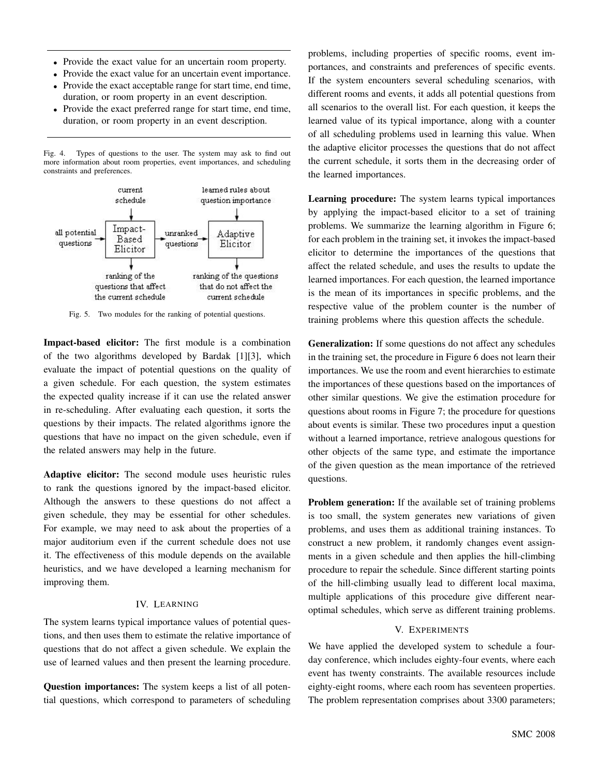- Provide the exact value for an uncertain room property.
- Provide the exact value for an uncertain event importance.
- Provide the exact acceptable range for start time, end time, duration, or room property in an event description.
- Provide the exact preferred range for start time, end time, duration, or room property in an event description.

Fig. 4. Types of questions to the user. The system may ask to find out more information about room properties, event importances, and scheduling constraints and preferences.



Fig. 5. Two modules for the ranking of potential questions.

Impact-based elicitor: The first module is a combination of the two algorithms developed by Bardak [1][3], which evaluate the impact of potential questions on the quality of a given schedule. For each question, the system estimates the expected quality increase if it can use the related answer in re-scheduling. After evaluating each question, it sorts the questions by their impacts. The related algorithms ignore the questions that have no impact on the given schedule, even if the related answers may help in the future.

Adaptive elicitor: The second module uses heuristic rules to rank the questions ignored by the impact-based elicitor. Although the answers to these questions do not affect a given schedule, they may be essential for other schedules. For example, we may need to ask about the properties of a major auditorium even if the current schedule does not use it. The effectiveness of this module depends on the available heuristics, and we have developed a learning mechanism for improving them.

## IV. LEARNING

The system learns typical importance values of potential questions, and then uses them to estimate the relative importance of questions that do not affect a given schedule. We explain the use of learned values and then present the learning procedure.

Question importances: The system keeps a list of all potential questions, which correspond to parameters of scheduling problems, including properties of specific rooms, event importances, and constraints and preferences of specific events. If the system encounters several scheduling scenarios, with different rooms and events, it adds all potential questions from all scenarios to the overall list. For each question, it keeps the learned value of its typical importance, along with a counter of all scheduling problems used in learning this value. When the adaptive elicitor processes the questions that do not affect the current schedule, it sorts them in the decreasing order of the learned importances.

Learning procedure: The system learns typical importances by applying the impact-based elicitor to a set of training problems. We summarize the learning algorithm in Figure 6; for each problem in the training set, it invokes the impact-based elicitor to determine the importances of the questions that affect the related schedule, and uses the results to update the learned importances. For each question, the learned importance is the mean of its importances in specific problems, and the respective value of the problem counter is the number of training problems where this question affects the schedule.

Generalization: If some questions do not affect any schedules in the training set, the procedure in Figure 6 does not learn their importances. We use the room and event hierarchies to estimate the importances of these questions based on the importances of other similar questions. We give the estimation procedure for questions about rooms in Figure 7; the procedure for questions about events is similar. These two procedures input a question without a learned importance, retrieve analogous questions for other objects of the same type, and estimate the importance of the given question as the mean importance of the retrieved questions.

Problem generation: If the available set of training problems is too small, the system generates new variations of given problems, and uses them as additional training instances. To construct a new problem, it randomly changes event assignments in a given schedule and then applies the hill-climbing procedure to repair the schedule. Since different starting points of the hill-climbing usually lead to different local maxima, multiple applications of this procedure give different nearoptimal schedules, which serve as different training problems.

## V. EXPERIMENTS

We have applied the developed system to schedule a fourday conference, which includes eighty-four events, where each event has twenty constraints. The available resources include eighty-eight rooms, where each room has seventeen properties. The problem representation comprises about 3300 parameters;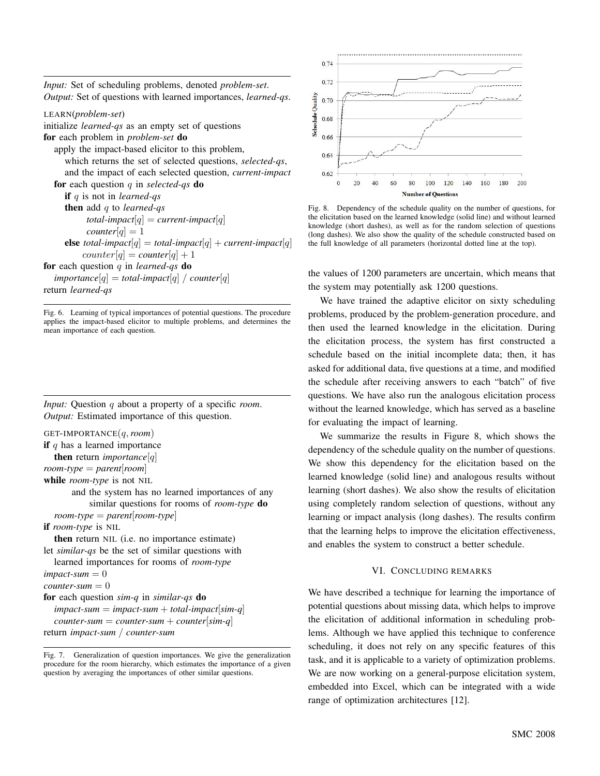*Input:* Set of scheduling problems, denoted *problem-set*. *Output:* Set of questions with learned importances, *learned-qs*.

## LEARN(*problem-set*)

initialize *learned-qs* as an empty set of questions for each problem in *problem-set* do apply the impact-based elicitor to this problem, which returns the set of selected questions, *selected-qs*, and the impact of each selected question, *current-impact*

for each question q in *selected-qs* do if q is not in *learned-qs* then add q to *learned-qs total-impact* $[q]$  = *current-impact* $[q]$ *counter*[ $q$ ] = 1 **else** *total-impact* $[q]$  = *total-impact* $[q]$  + *current-impact* $[q]$  $counter[q] = counter[q] + 1$ for each question q in *learned-qs* do  $importance[q] = total-impact[q] / counter[q]$ return *learned-qs*

Fig. 6. Learning of typical importances of potential questions. The procedure applies the impact-based elicitor to multiple problems, and determines the mean importance of each question.

*Input:* Question q about a property of a specific *room*. *Output:* Estimated importance of this question.

GET-IMPORTANCE(q,*room*) if  $q$  has a learned importance then return *importance*[q] *room-type* = *parent*[*room*] while *room-type* is not NIL and the system has no learned importances of any similar questions for rooms of *room-type* do *room-type* = *parent*[*room-type*] if *room-type* is NIL then return NIL (i.e. no importance estimate) let *similar-qs* be the set of similar questions with learned importances for rooms of *room-type*  $$  $counter-sum = 0$ for each question *sim-q* in *similar-qs* do  $$  $counter-sum = counter-sum + counter[sim-q]$ return *impact-sum* / *counter-sum*

Fig. 7. Generalization of question importances. We give the generalization procedure for the room hierarchy, which estimates the importance of a given question by averaging the importances of other similar questions.



Fig. 8. Dependency of the schedule quality on the number of questions, for the elicitation based on the learned knowledge (solid line) and without learned knowledge (short dashes), as well as for the random selection of questions (long dashes). We also show the quality of the schedule constructed based on the full knowledge of all parameters (horizontal dotted line at the top).

the values of 1200 parameters are uncertain, which means that the system may potentially ask 1200 questions.

We have trained the adaptive elicitor on sixty scheduling problems, produced by the problem-generation procedure, and then used the learned knowledge in the elicitation. During the elicitation process, the system has first constructed a schedule based on the initial incomplete data; then, it has asked for additional data, five questions at a time, and modified the schedule after receiving answers to each "batch" of five questions. We have also run the analogous elicitation process without the learned knowledge, which has served as a baseline for evaluating the impact of learning.

We summarize the results in Figure 8, which shows the dependency of the schedule quality on the number of questions. We show this dependency for the elicitation based on the learned knowledge (solid line) and analogous results without learning (short dashes). We also show the results of elicitation using completely random selection of questions, without any learning or impact analysis (long dashes). The results confirm that the learning helps to improve the elicitation effectiveness, and enables the system to construct a better schedule.

## VI. CONCLUDING REMARKS

We have described a technique for learning the importance of potential questions about missing data, which helps to improve the elicitation of additional information in scheduling problems. Although we have applied this technique to conference scheduling, it does not rely on any specific features of this task, and it is applicable to a variety of optimization problems. We are now working on a general-purpose elicitation system, embedded into Excel, which can be integrated with a wide range of optimization architectures [12].